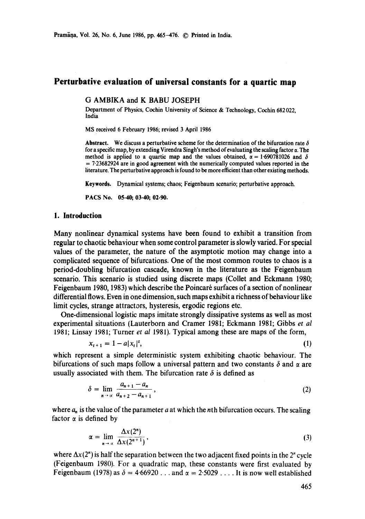Pramāna, Vol. 26, No. 6, June 1986, pp. 465-476. © Printed in India.

## **Perturbative evaluation of universal constants for a quartic map**

## G AMBIKA and K BABU JOSEPH

Department of Physics, Cochin University of Science & Technology, Cochin 682 022, India

MS received 6 February 1986; revised 3 April 1986

**Abstract.** We discuss a perturbative scheme for the determination of the bifurcation rate  $\delta$ for a specific map, by extending Virendra Singh's method of evaluating the scaling factor  $\alpha$ . The method is applied to a quartic map and the values obtained,  $\alpha = 1.690781026$  and  $\delta$ = 7.23682924 are in good agreement with the numerically computed values reported in **the**  literature. The perturbative approach is found to be more efficient than other existing methods.

**Keywords.** Dynamical systems; chaos; Feigenbaum scenario; pcrturbative approach.

**PACS No. 05.40; 03.40; 02.90.** 

#### **1. Introduction**

Many nonlinear dynamical systems have been found to exhibit a transition from regular to chaotic behaviour when some control parameter is slowly varied. For special values of the parameter, the nature of the asymptotic motion may change into a complicated sequence of bifurcations. One of the most common routes to chaos is a period-doubling bifurcation cascade, known in the literature as the Feigenbaum scenario. This scenario is studied using discrete maps (Collet and Eckmann 1980; Feigenbaum 1980, 1983) which describe the Poincar6 surfaces of a section of nonlinear differential flows. Even in one dimension, such maps exhibit a richness of behaviour like limit cycles, strange attractors, hysteresis, ergodic regions etc.

One-dimensional logistic maps imitate strongly dissipative systems as well as most experimental situations (Lauterborn and Cramer 1981; Eckmann 1981; Gibbs *et al*  1981; Linsay 1981; Turner *et al* 1981). Typical among these are maps of the form,

$$
x_{t+1} = 1 - a|x_t|^2, \tag{1}
$$

which represent a simple deterministic system exhibiting chaotic behaviour. The bifurcations of such maps follow a universal pattern and two constants  $\delta$  and  $\alpha$  are usually associated with them. The bifurcation rate  $\delta$  is defined as

$$
\delta = \lim_{n \to \infty} \frac{a_{n+1} - a_n}{a_{n+2} - a_{n+1}},\tag{2}
$$

where  $a_n$  is the value of the parameter a at which the nth bifurcation occurs. The scaling factor  $\alpha$  is defined by

$$
\alpha = \lim_{n \to \infty} \frac{\Delta x(2^n)}{\Delta x(2^{n+1})},\tag{3}
$$

where  $\Delta x(2^n)$  is half the separation between the two adjacent fixed points in the 2<sup>n</sup> cycle (Feigenbaum 1980). For a quadratic map, these constants were first evaluated by Feigenbaum (1978) as  $\delta = 4.66920...$  and  $\alpha = 2.5029...$  It is now well established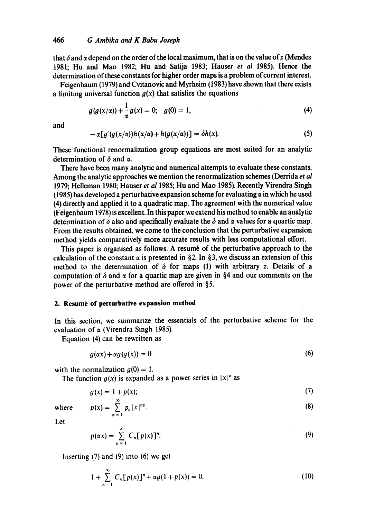that  $\delta$  and  $\alpha$  depend on the order of the local maximum, that is on the value of z (Mendes 1981; Hu and Mao 1982; Hu and Satija 1983; Hauser *et al* 1985). Hence the determination of these constants for higher order maps is a problem of current interest.

Feigenbaum (1979) and Cvitanovic and Myrheim (1983) have shown that there exists a limiting universal function  $q(x)$  that satisfies the equations

$$
g(g(x/\alpha)) + \frac{1}{\alpha} g(x) = 0; \quad g(0) = 1,
$$
 (4)

and

$$
-\alpha[g'(g(x/\alpha))h(x/\alpha)+h(g(x/\alpha))] = \delta h(x). \tag{5}
$$

These functional renormalization group equations are most suited for an analytic determination of  $\delta$  and  $\alpha$ .

There have been many analytic and numerical attempts to evaluate these constants. Among the analytic approaches we mention the renormalization schemes (Derrida *et al*  1979; Helleman 1980; Hauser *et al* 1985; Hu and Mao 1985). Recently Virendra Singh (1985) has developed a perturbative expansion scheme for evaluating  $\alpha$  in which he used (4) directly and applied it to a quadratic map. The agreement with the numerical value (Feigenbaum 1978) is excellent. In this paper we extend his method to enable an analytic determination of  $\delta$  also and specifically evaluate the  $\delta$  and  $\alpha$  values for a quartic map. From the results obtained, we come to the conclusion that the perturbative expansion method yields comparatively more accurate results with less computational effort.

This paper is organised as follows. A resume of the perturbative approach to the calculation of the constant  $\alpha$  is presented in §2. In §3, we discuss an extension of this method to the determination of  $\delta$  for maps (1) with arbitrary z. Details of a computation of  $\delta$  and  $\alpha$  for a quartic map are given in §4 and our comments on the power of the perturbative method are offered in  $§5$ .

## 2. Resumé of perturbative expansion method

In this section, we summarize the essentials of the perturbative scheme for the evaluation of  $\alpha$  (Virendra Singh 1985).

Equation (4) can be rewritten as

$$
g(\alpha x) + \alpha g(g(x)) = 0 \tag{6}
$$

with the normalization  $g(0) = 1$ .

The function  $g(x)$  is expanded as a power series in  $|x|^2$  as

$$
g(x) = 1 + p(x); \tag{7}
$$

$$
\quad \text{where} \quad
$$

$$
p(x) = \sum_{n=1}^{\infty} p_n |x|^{nz}.
$$
 (8)

Let

$$
p(\alpha x) = \sum_{n=1}^{\infty} C_n [p(x)]^n.
$$
 (9)

Inserting (7) and (9) into (6) we get

$$
1 + \sum_{n=1}^{\infty} C_n [p(x)]^n + \alpha g(1 + p(x)) = 0.
$$
 (10)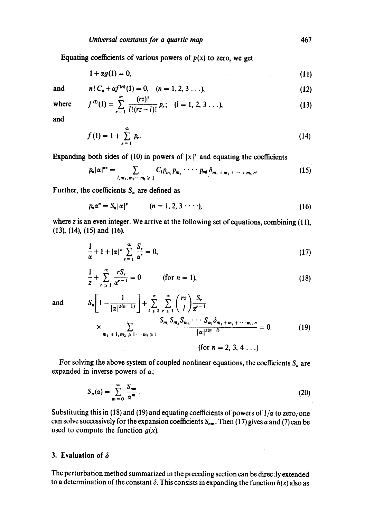Equating coefficients of various powers of  $p(x)$  to zero, we get

$$
1 + \alpha g(1) = 0,\tag{11}
$$

and

$$
n! C_n + \alpha f^{(n)}(1) = 0, \quad (n = 1, 2, 3 \ldots), \tag{12}
$$

where 
$$
f^{(l)}(1) = \sum_{r=1}^{\infty} \frac{(rz)!}{l!(rz-l)!} p_r; \quad (l = 1, 2, 3 \ldots),
$$
 (13)

and

$$
f(1) = 1 + \sum_{r=1}^{\infty} p_r.
$$
 (14)

Expanding both sides of (10) in powers of  $|x|^2$  and equating the coefficients

$$
p_n|\alpha|^{nz} = \sum_{l,m_1,m_2\cdots m_l\geq 1} C_l p_{m_1} p_{m_2} \cdots p_{ml} \delta_{m_1+m_2+\cdots+m_l,n}.
$$
 (15)

Further, the coefficients  $S_n$  are defined as

$$
p_n \alpha^n = S_n |\alpha|^2 \qquad (n = 1, 2, 3 \cdots), \qquad (16)
$$

where  $z$  is an even integer. We arrive at the following set of equations, combining (11), (13), (14), (15) and (16).

$$
\frac{1}{\alpha} + 1 + |\alpha|^z \sum_{r=1}^{\infty} \frac{S_r}{\alpha^r} = 0,
$$
\n(17)

$$
\frac{1}{z} + \sum_{r \ge 1}^{\infty} \frac{rS_r}{\alpha^{r-1}} = 0
$$
 (for  $n = 1$ ), (18)

and 
$$
S_n \left[ 1 - \frac{1}{|\alpha|^{z(n-1)}} \right] + \sum_{l \geq 2}^n \sum_{r \geq 1}^{\infty} {r \choose l} \frac{S_r}{\alpha^{r-1}} \times \sum_{m_1 \geq 1, m_2 \geq 1 \cdots m_l \geq 1} \frac{S_{m_1} S_{m_2} S_{m_3} \cdots S_{m_l} \delta_{m_1 + m_2 + \cdots m_l, n}}{|\alpha|^{z(n-l)}} = 0.
$$
 (19)

(for  $n = 2, 3, 4...$ )

For solving the above system of coupled nonlinear equations, the coefficients  $S_n$  are expanded in inverse powers of  $\alpha$ ;

$$
S_n(\alpha) = \sum_{m=0}^{\infty} \frac{S_{nm}}{\alpha^m} \,. \tag{20}
$$

Substituting this in (18) and (19) and equating coefficients of powers of  $1/\alpha$  to zero; one can solve successively for the expansion coefficients  $S_{nm}$ . Then (17) gives  $\alpha$  and (7) can be used to compute the function  $g(x)$ .

## **3. Evaluation of 6**

The perturbation method summarized in the preceding section can be direc :ly extended to a determination of the constant  $\delta$ . This consists in expanding the function  $h(x)$  also as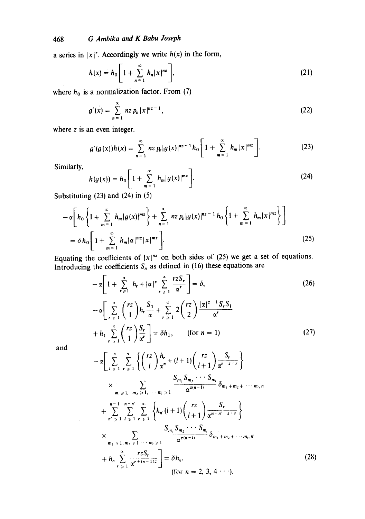# 468 *G Ambika and K Babu Joseph*

a series in  $|x|^2$ . Accordingly we write  $h(x)$  in the form,

$$
h(x) = h_0 \left[ 1 + \sum_{n=1}^{\infty} h_n |x|^{nz} \right],
$$
 (21)

where  $h_0$  is a normalization factor. From (7)

$$
g'(x) = \sum_{n=1}^{\infty} n z \, p_n |x|^{n-1}, \tag{22}
$$

where z is an even integer.

$$
g'(g(x))h(x) = \sum_{n=1}^{\infty} n z p_n |g(x)|^{n^2-1} h_0 \left[ 1 + \sum_{m=1}^{\infty} h_m |x|^{m^2} \right].
$$
 (23)

Similarly,

$$
h(g(x)) = h_0 \left[ 1 + \sum_{m=1}^{\infty} h_m |g(x)|^{m^2} \right].
$$
 (24)

Substituting (23) and (24) in (5)

$$
-\alpha \bigg[h_0 \left\{1 + \sum_{m=1}^{\infty} h_m |g(x)|^{mz}\right\} + \sum_{n=1}^{\infty} n z p_n |g(x)|^{nz-1} h_0 \left\{1 + \sum_{m=1}^{\infty} h_m |x|^{mz}\right\}\bigg]
$$
  
=  $\delta h_0 \bigg[1 + \sum_{m=1}^{\infty} h_m |\alpha|^{mz} |x|^{mz}\bigg].$  (25)

Equating the coefficients of  $|x|^{nz}$  on both sides of (25) we get a set of equations. Introducing the coefficients  $S_n$  as defined in (16) these equations are

$$
-\alpha \left[ 1 + \sum_{r \geq 1}^{\infty} h_r + |\alpha|^2 \sum_{r \geq 1}^{\infty} \frac{r \cdot 2S_r}{\alpha^r} \right] = \delta,
$$
\n
$$
-\alpha \left[ \sum_{r \geq 1}^{\infty} {r \choose 1} h_r \frac{S_1}{\alpha} + \sum_{r \geq 1}^{\infty} 2 {r \choose 2} \frac{|\alpha|^{z-1} S_r S_1}{\alpha^r} + h_1 \sum_{r \geq 1}^{\infty} {r \choose 1} \frac{S_r}{\alpha^r} \right] = \delta h_1, \quad \text{(for } n = 1)
$$
\n(27)

and

$$
\begin{aligned}\n&\cdot \alpha \Bigg[ \sum_{l \geq 1}^{n} \sum_{r \geq 1}^{\alpha} \left\{ \binom{rz}{l} \frac{h_r}{\alpha^n} + (l+1) \binom{rz}{l+1} \frac{S_r}{\alpha^{n-2+r}} \right\} \\
&\times \Bigg] &\times \Bigg[ \sum_{m_1 \geq 1, \quad m_2 \geq 1, \quad \cdots \, m_l \geq 1} \frac{S_{m_1} S_{m_2} \cdots S_{m_l}}{\alpha^{z(n-l)}} \delta_{m_1 + m_2 + \cdots m_l, n} \\
&+ \sum_{n' \geq 1} \sum_{l \geq 1}^{\alpha-1} \sum_{r \geq 1}^{\alpha} \left\{ h_r (l+1) \binom{rz}{l+1} \frac{S_r}{\alpha^{n-n'-2+r}} \right\} \\
&\times \sum_{m_1 \geq 1, \quad m_2 \geq 1, \quad \cdots \, m_l \geq 1} \frac{S_{m_1} S_{m_2} \cdots S_{m_l}}{\alpha^{z(n-l)}} \delta_{m_1 + m_2 + \cdots m_l, n'} \\
&+ h_n \sum_{r \geq 1}^{\alpha} \frac{rzS_r}{\alpha^{r+(n-1)z}} \Bigg] = \delta h_n. \n\end{aligned} \tag{28}
$$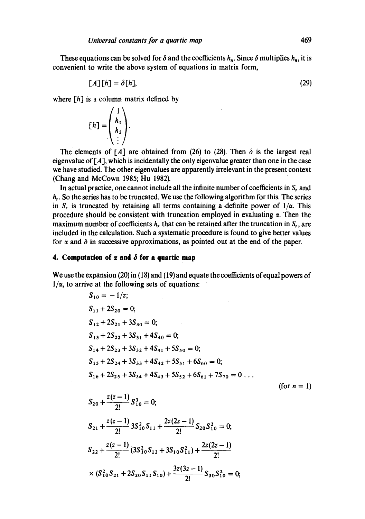These equations can be solved for  $\delta$  and the coefficients  $h_n$ . Since  $\delta$  multiplies  $h_n$ , it is convenient to write the above system of equations in matrix form,

$$
[A][h] = \delta[h],\tag{29}
$$

where  $[h]$  is a column matrix defined by

$$
[h] = \begin{pmatrix} 1 \\ h_1 \\ h_2 \\ \vdots \end{pmatrix}.
$$

The elements of [A] are obtained from (26) to (28). Then  $\delta$  is the largest real eigenvalue of *[A],* which is incidentally the only eigenvalue greater than one in the case we have studied. The other eigenvalues are apparently irrelevant in the present context (Chang and McCown 1985; Hu 1982).

In actual practice, one cannot include all the infinite number of coefficients in S, and  $h_r$ . So the series has to be truncated. We use the following algorithm for this. The series in S, is truncated by retaining all terms containing a definite power of  $1/\alpha$ . This procedure should be consistent with truncation employed in evaluating  $\alpha$ . Then the maximum number of coefficients  $h_r$ , that can be retained after the truncation in  $S_r$ , are included in the calculation. Such a systematic procedure is found to give better values for  $\alpha$  and  $\delta$  in successive approximations, as pointed out at the end of the paper.

### **4. Computation of**  $\alpha$  **and**  $\delta$  **for a quartic map**

 $\overline{a}$ 

 $\sim$ 

We use the expansion (20) in (18) and (19) and equate the coefficients of equal powers of  $1/\alpha$ , to arrive at the following sets of equations:

$$
S_{10} = -1/z;
$$
  
\n
$$
S_{11} + 2S_{20} = 0;
$$
  
\n
$$
S_{12} + 2S_{21} + 3S_{30} = 0;
$$
  
\n
$$
S_{13} + 2S_{22} + 3S_{31} + 4S_{40} = 0;
$$
  
\n
$$
S_{14} + 2S_{23} + 3S_{32} + 4S_{41} + 5S_{50} = 0;
$$
  
\n
$$
S_{15} + 2S_{24} + 3S_{33} + 4S_{42} + 5S_{51} + 6S_{60} = 0;
$$
  
\n
$$
S_{16} + 2S_{25} + 3S_{34} + 4S_{43} + 5S_{52} + 6S_{61} + 7S_{70} = 0...
$$
  
\n(for  $n = 1$ )

$$
S_{20} + \frac{z(z-1)}{2!} S_{10}^3 = 0;
$$
  
\n
$$
S_{21} + \frac{z(z-1)}{2!} 3S_{10}^2 S_{11} + \frac{2z(2z-1)}{2!} S_{20} S_{10}^2 = 0;
$$
  
\n
$$
S_{22} + \frac{z(z-1)}{2!} (3S_{10}^2 S_{12} + 3S_{10} S_{11}^2) + \frac{2z(2z-1)}{2!}
$$
  
\n
$$
\times (S_{10}^2 S_{21} + 2S_{20} S_{11} S_{10}) + \frac{3z(3z-1)}{2!} S_{30} S_{10}^2 = 0;
$$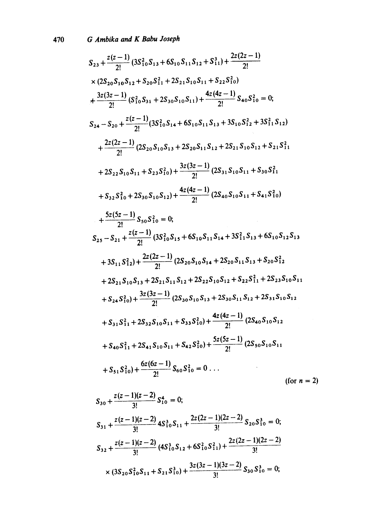$$
S_{23} + \frac{z(z-1)}{2!} (3S_{10}^{2}S_{13} + 6S_{10}S_{11}S_{12} + S_{11}^{3}) + \frac{2z(2z-1)}{2!}
$$
  
\n
$$
\times (2S_{20}S_{10}S_{12} + S_{20}S_{11}^{2} + 2S_{21}S_{10}S_{11} + S_{22}S_{10}^{2})
$$
  
\n
$$
+ \frac{3z(3z-1)}{2!} (S_{10}^{2}S_{31} + 2S_{30}S_{10}S_{11}) + \frac{4z(4z-1)}{2!} S_{40}S_{10}^{2} = 0;
$$
  
\n
$$
S_{24} - S_{20} + \frac{z(z-1)}{2!} (3S_{10}^{2}S_{14} + 6S_{10}S_{11}S_{13} + 3S_{10}S_{12}^{2} + 3S_{11}^{2}S_{12})
$$
  
\n
$$
+ \frac{2z(2z-1)}{2!} (2S_{20}S_{10}S_{13} + 2S_{20}S_{11}S_{12} + 2S_{21}S_{10}S_{12} + S_{21}S_{11}^{2}
$$
  
\n
$$
+ 2S_{22}S_{10}S_{11} + S_{23}S_{10}^{2}) + \frac{3z(3z-1)}{2!} (2S_{31}S_{10}S_{11} + S_{30}S_{11}^{2}
$$
  
\n
$$
+ S_{32}S_{10}^{2} + 2S_{30}S_{10}S_{12}) + \frac{4z(4z-1)}{2!} (2S_{40}S_{10}S_{11} + S_{41}S_{10}^{2})
$$
  
\n
$$
+ \frac{5z(5z-1)}{2!} S_{50}S_{10}^{2} = 0;
$$
  
\n
$$
S_{25} - S_{21} + \frac{z(z-1)}{2!} (3S_{10}^{2}S_{15} + 6S_{10}S_{11}S_{14} + 3S_{11}^{2}S_{11}S_{13} + 6S_{1
$$

$$
S_{30} + \frac{z(z-1)(z-2)}{3!} S_{10}^4 = 0;
$$
  
\n
$$
S_{31} + \frac{z(z-1)(z-2)}{3!} 4S_{10}^3 S_{11} + \frac{2z(2z-1)(2z-2)}{3!} S_{20} S_{10}^3 = 0;
$$
  
\n
$$
S_{32} + \frac{z(z-1)(z-2)}{3!} (4S_{10}^3 S_{12} + 6S_{10}^2 S_{11}^2) + \frac{2z(2z-1)(2z-2)}{3!} S_{30} S_{10}^3 = 0;
$$
  
\n
$$
\times (3S_{20} S_{10}^2 S_{11} + S_{21} S_{10}^3) + \frac{3z(3z-1)(3z-2)}{3!} S_{30} S_{10}^3 = 0;
$$

 $2)$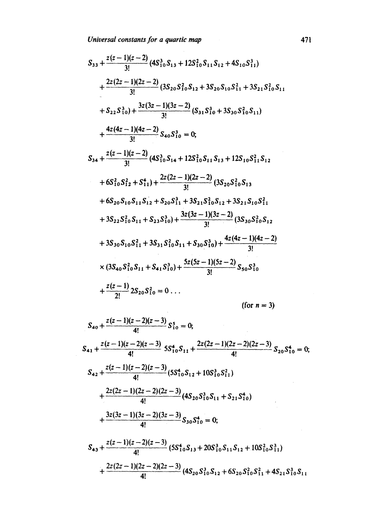$$
S_{33} + \frac{z(z-1)(z-2)}{3!} (4S_{10}^{3}S_{13} + 12S_{10}^{2}S_{11}S_{12} + 4S_{10}S_{11}^{3})
$$
  
+ 
$$
\frac{2z(2z-1)(2z-2)}{3!} (3S_{20}S_{10}^{2}S_{12} + 3S_{20}S_{10}S_{11}^{2} + 3S_{21}S_{10}^{2}S_{11}
$$
  
+ 
$$
S_{22}S_{10}^{3}) + \frac{3z(3z-1)(3z-2)}{3!} (S_{31}S_{10}^{3} + 3S_{30}S_{10}^{2}S_{11})
$$
  
+ 
$$
\frac{4z(4z-1)(4z-2)}{3!} S_{40}S_{10}^{3} = 0;
$$
  

$$
S_{34} + \frac{z(z-1)(z-2)}{3!} (4S_{10}^{3}S_{14} + 12S_{10}^{2}S_{11}S_{13} + 12S_{10}S_{11}^{2}S_{12}
$$
  
+ 
$$
6S_{10}^{2}S_{12}^{2} + S_{11}^{4}) + \frac{2z(2z-1)(2z-2)}{3!} (3S_{20}S_{10}^{2}S_{13}
$$
  
+ 
$$
6S_{20}S_{10}S_{11}S_{12} + S_{20}S_{11}^{3} + 3S_{21}S_{10}^{2}S_{12} + 3S_{21}S_{10}S_{11}^{2}
$$
  
+ 
$$
3S_{22}S_{10}^{2}S_{11} + S_{23}S_{10}^{3}) + \frac{3z(3z-1)(3z-2)}{3!} (3S_{30}S_{10}^{2}S_{12}
$$
  
+ 
$$
3S_{30}S_{10}S_{11}^{2} + 3S_{31}S_{10}^{2}S_{11} + S_{30}S_{10}^{3}) + \frac{4z(4z-1)(4z-2)}{3!}
$$
  

$$
\times (3S_{40}S_{10}^{2}S_{11} + S_{41}S_{10}^{3
$$

$$
S_{40} + \frac{z(z-1)(z-2)(z-3)}{4!} S_{10}^{5} = 0;
$$
  
\n
$$
S_{41} + \frac{z(z-1)(z-2)(z-3)}{4!} S_{10}^{4} S_{11} + \frac{2z(2z-1)(2z-2)(2z-3)}{4!} S_{20} S_{10}^{4} = 0;
$$
  
\n
$$
S_{42} + \frac{z(z-1)(z-2)(z-3)}{4!} (5S_{10}^{4} S_{12} + 10S_{10}^{3} S_{11}^{2})
$$
  
\n
$$
+ \frac{2z(2z-1)(2z-2)(2z-3)}{4!} (4S_{20} S_{10}^{3} S_{11} + S_{21} S_{10}^{4})
$$
  
\n
$$
+ \frac{3z(3z-1)(3z-2)(3z-3)}{4!} S_{30} S_{10}^{4} = 0;
$$
  
\n
$$
S_{43} + \frac{z(z-1)(z-2)(z-3)}{4!} (5S_{10}^{4} S_{13} + 20S_{10}^{3} S_{11} S_{12} + 10S_{10}^{2} S_{11}^{3})
$$
  
\n
$$
+ \frac{2z(2z-1)(2z-2)(2z-3)}{4!} (4S_{20} S_{10}^{3} S_{12} + 6S_{20} S_{10}^{2} S_{11}^{2} + 4S_{21} S_{10}^{3} S_{11}
$$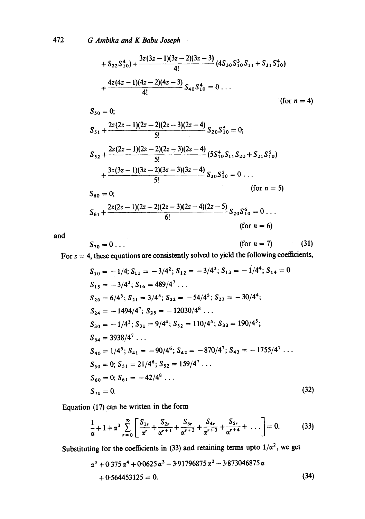$$
+ S_{22}S_{10}^{4}) + \frac{3z(3z-1)(3z-2)(3z-3)}{4!} (4S_{30}S_{10}^{3}S_{11} + S_{31}S_{10}^{4})
$$
  
+ 
$$
\frac{4z(4z-1)(4z-2)(4z-3)}{4!} S_{40}S_{10}^{4} = 0 ...
$$
  
(for n = 4)  

$$
S_{50} = 0;
$$
  

$$
S_{51} + \frac{2z(2z-1)(2z-2)(2z-3)(2z-4)}{5!} S_{20}S_{10}^{5} = 0;
$$
  

$$
S_{52} + \frac{2z(2z-1)(2z-2)(2z-3)(2z-4)}{5!} (5S_{10}^{4}S_{11}S_{20} + S_{21}S_{10}^{5})
$$
  
+ 
$$
\frac{3z(3z-1)(3z-2)(3z-3)(3z-4)}{5!} S_{30}S_{10}^{5} = 0 ...
$$
  
(for n = 5)  

$$
S_{60} = 0;
$$
  

$$
S_{61} + \frac{2z(2z-1)(2z-2)(2z-3)(2z-4)(2z-5)}{6!} S_{20}S_{10}^{6} = 0 ...
$$
  
(for n = 6)

and

$$
S_{70} = 0 \ldots \qquad \qquad \text{(for } n = 7) \qquad \qquad \text{(31)}
$$

For  $z = 4$ , these equations are consistently solved to yield the following coefficients,

$$
S_{10} = -1/4; S_{11} = -3/4^2; S_{12} = -3/4^3; S_{13} = -1/4^4; S_{14} = 0
$$
  
\n
$$
S_{15} = -3/4^2; S_{16} = 489/4^7 \dots
$$
  
\n
$$
S_{20} = 6/4^3; S_{21} = 3/4^3; S_{22} = -54/4^5; S_{23} = -30/4^4;
$$
  
\n
$$
S_{24} = -1494/4^7; S_{25} = -12030/4^8 \dots
$$
  
\n
$$
S_{30} = -1/4^3; S_{31} = 9/4^4; S_{32} = 110/4^5; S_{33} = 190/4^5;
$$
  
\n
$$
S_{34} = 3938/4^7 \dots
$$
  
\n
$$
S_{40} = 1/4^5; S_{41} = -90/4^6; S_{42} = -870/4^7; S_{43} = -1755/4^7 \dots
$$
  
\n
$$
S_{50} = 0; S_{51} = 21/4^6; S_{52} = 159/4^7 \dots
$$
  
\n
$$
S_{60} = 0; S_{61} = -42/4^8 \dots
$$
  
\n
$$
S_{70} = 0.
$$
  
\n(32)

Equation (17) can be written in the form

$$
\frac{1}{\alpha} + 1 + \alpha^3 \sum_{r=0}^{\infty} \left[ \frac{S_{1r}}{\alpha^r} + \frac{S_{2r}}{\alpha^{r+1}} + \frac{S_{3r}}{\alpha^{r+2}} + \frac{S_{4r}}{\alpha^{r+3}} + \frac{S_{5r}}{\alpha^{r+4}} + \dots \right] = 0.
$$
 (33)

Substituting for the coefficients in (33) and retaining terms upto  $1/\alpha^2$ , we get

$$
\alpha^5 + 0.375 \alpha^4 + 0.0625 \alpha^3 - 3.91796875 \alpha^2 - 3.873046875 \alpha
$$
  
+ 0.564453125 = 0. (34)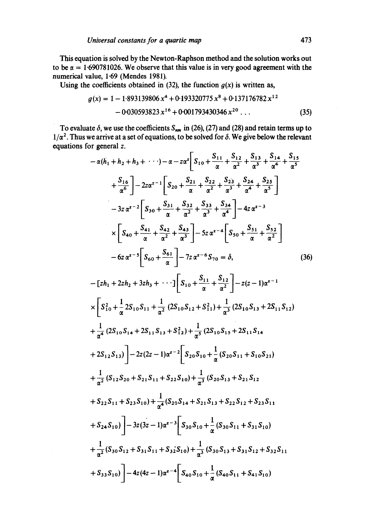This equation is solved by the Newton-Raphson method and the solution works out to be  $\alpha = 1.690781026$ . We observe that this value is in very good agreement with the numerical value, 1.69 (Mendes 1981).

Using the coefficients obtained in (32), the function  $g(x)$  is written as,

$$
g(x) = 1 - 1.893139806 x4 + 0.193320775 x8 + 0.137176782 x12
$$
  
- 0.030593823 x<sup>16</sup> + 0.001793430346 x<sup>20</sup>... (35)

To evaluate  $\delta$ , we use the coefficients  $S_{nm}$  in (26), (27) and (28) and retain terms up to  $1/\alpha^2$ . Thus we arrive at a set of equations, to be solved for  $\delta$ . We give below the relevant equations for general z.

$$
-\alpha(h_1 + h_2 + h_3 + \cdots) - \alpha - z\alpha^2 \left[S_{10} + \frac{S_{11}}{\alpha} + \frac{S_{12}}{\alpha^2} + \frac{S_{13}}{\alpha^3} + \frac{S_{14}}{\alpha^4} + \frac{S_{15}}{\alpha^5} + \frac{S_{16}}{\alpha^6} \right] - 2z\alpha^{z-1} \left[S_{20} + \frac{S_{21}}{\alpha} + \frac{S_{22}}{\alpha^2} + \frac{S_{23}}{\alpha^3} + \frac{S_{24}}{\alpha^4} + \frac{S_{25}}{\alpha^5} \right]
$$
  
\n
$$
-3z\alpha^{z-2} \left[S_{30} + \frac{S_{31}}{\alpha} + \frac{S_{32}}{\alpha^2} + \frac{S_{33}}{\alpha^3} + \frac{S_{34}}{\alpha^4} \right] - 4z\alpha^{z-3}
$$
  
\n
$$
\times \left[S_{40} + \frac{S_{41}}{\alpha} + \frac{S_{42}}{\alpha^2} + \frac{S_{43}}{\alpha^3} \right] - 5z\alpha^{z-4} \left[S_{50} + \frac{S_{51}}{\alpha} + \frac{S_{52}}{\alpha^2} \right]
$$
  
\n
$$
-6z\alpha^{z-5} \left[S_{60} + \frac{S_{61}}{\alpha} \right] - 7z\alpha^{z-6} S_{70} = \delta,
$$
  
\n
$$
- [zh_1 + 2zh_2 + 3zh_3 + \cdots] \left[S_{10} + \frac{S_{11}}{\alpha} + \frac{S_{12}}{\alpha^2} \right] - z(z - 1)\alpha^{z-1}
$$
  
\n
$$
\times \left[S_{10}^2 + \frac{1}{\alpha} 2S_{10}S_{11} + \frac{1}{\alpha^2} (2S_{10}S_{12} + S_{11}^2) + \frac{1}{\alpha^3} (2S_{10}S_{13} + 2S_{11}S_{12}) + \frac{1}{\alpha^4} (2S_{10}S_{14} + 2S_{11}S_{13} + S_{12}^2) + \frac{1}{\alpha^5} (2S_{10}S_{15} + 2S_{11}S_{14} + 2S_{12}S_{
$$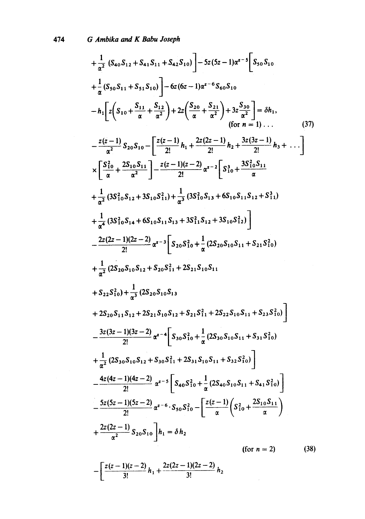$$
+\frac{1}{\alpha^{2}} \left(S_{40}S_{12}+S_{41}S_{11}+S_{42}S_{10}\right)-5z(5z-1)\alpha^{z-5}\left[S_{50}S_{10}\right]
$$
  
\n
$$
+\frac{1}{\alpha}\left(S_{50}S_{11}+S_{51}S_{10}\right)-6z(6z-1)\alpha^{z-6}S_{60}S_{10}
$$
  
\n
$$
-h_{1}\left[z\left(S_{10}+\frac{S_{11}}{\alpha}+\frac{S_{12}}{\alpha^{2}}\right)+2z\left(\frac{S_{20}}{\alpha}+\frac{S_{21}}{\alpha^{2}}\right)+3z\frac{S_{30}}{\alpha^{2}}\right]=\delta h_{1},
$$
  
\n
$$
-\frac{z(z-1)}{\alpha^{2}}S_{20}S_{10}-\left[\frac{z(z-1)}{2!}h_{1}+\frac{2z(2z-1)}{2!}h_{2}+\frac{3z(3z-1)}{2!}h_{3}+\cdots\right]
$$
  
\n
$$
\times\left[\frac{S_{10}^{2}}{\alpha}+\frac{2S_{10}S_{11}}{\alpha^{2}}\right]-\frac{z(z-1)(z-2)}{2!}\alpha^{z-2}\left[S_{10}^{2}+\frac{3S_{10}^{2}S_{11}}{\alpha}+\frac{3S_{10}^{2}S_{11}}{\alpha^{2}}\right]
$$
  
\n
$$
+\frac{1}{\alpha^{2}}\left(3S_{10}^{2}S_{12}+3S_{10}S_{11}^{2}\right)+\frac{1}{\alpha^{3}}\left(3S_{10}^{2}S_{13}+6S_{10}S_{11}S_{12}+S_{11}^{3}\right)
$$
  
\n
$$
+\frac{1}{\alpha^{4}}\left(3S_{10}^{2}S_{14}+6S_{10}S_{11}S_{13}+3S_{11}^{2}S_{12}+3S_{10}S_{12}^{2}\right)
$$
  
\n
$$
-\frac{2z(2z-1)(2z-2)}{2!}\alpha^{z-3}\left[S_{20}S_{10}^{2}+\frac{1}{\alpha}\left(2S_{20}S_{10}S_{11}+S_{21}S_{10}^{2}\right
$$

$$
-\left[\frac{z(z-1)(z-2)}{3!}h_1+\frac{2z(2z-1)(2z-2)}{3!}h_2\right]
$$

 $\mathcal{L}^{\text{max}}_{\text{max}}$  , where  $\mathcal{L}^{\text{max}}_{\text{max}}$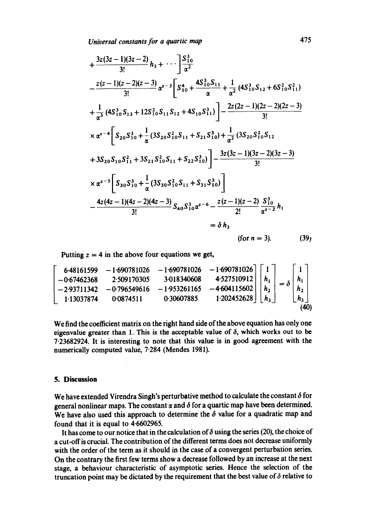*Universal constants for a quartic map* 475

$$
+\frac{3z(3z-1)(3z-2)}{3!}h_3 + \cdots \Bigg] \frac{S_{10}^3}{\alpha^2}
$$
  
\n
$$
-\frac{z(z-1)(z-2)(z-3)}{3!} \alpha^{z-3} \Bigg[ S_{10}^4 + \frac{4S_{10}^3 S_{11}}{\alpha} + \frac{1}{\alpha^2} (4S_{10}^3 S_{12} + 6S_{10}^2 S_{11}^2)
$$
  
\n
$$
+\frac{1}{\alpha^3} (4S_{10}^3 S_{13} + 12S_{10}^2 S_{11} S_{12} + 4S_{10} S_{11}^3) \Bigg] - \frac{2z(2z-1)(2z-2)(2z-3)}{3!}
$$
  
\n
$$
\times \alpha^{z-4} \Bigg[ S_{20} S_{10}^3 + \frac{1}{\alpha} (3S_{20} S_{10}^2 S_{11} + S_{21} S_{10}^3) + \frac{1}{\alpha^2} (3S_{20} S_{10}^2 S_{12}
$$
  
\n
$$
+ 3S_{20} S_{10} S_{11}^2 + 3S_{21} S_{10}^2 S_{11} + S_{22} S_{10}^3) \Bigg] - \frac{3z(3z-1)(3z-2)(3z-3)}{3!}
$$
  
\n
$$
\times \alpha^{z-5} \Bigg[ S_{30} S_{10}^3 + \frac{1}{\alpha} (3S_{30} S_{10}^2 S_{11} + S_{31} S_{10}^3) \Bigg]
$$
  
\n
$$
- \frac{4z(4z-1)(4z-2)(4z-3)}{3!} S_{40} S_{10}^3 \alpha^{z-6} - \frac{z(z-1)(z-2)}{2!} \frac{S_{10}^3}{\alpha^{z-2}} h_1
$$
  
\n
$$
= \delta h_3
$$
  
\n(for  $n = 3$ ). (39)

Putting  $z = 4$  in the above four equations we get,

$$
\begin{bmatrix}\n6\cdot48161599 & -1\cdot690781026 & -1\cdot690781026 & -1\cdot690781026 \\
-0\cdot67462368 & 2\cdot509170305 & 3\cdot018340608 & 4\cdot527510912 \\
-2\cdot93711342 & -0\cdot796549616 & -1\cdot953261165 & -4\cdot604115602 \\
1\cdot13037874 & 0\cdot0874511 & 0\cdot30607885 & 1\cdot202452628\n\end{bmatrix}\n\begin{bmatrix}\n1 \\
h_1 \\
h_2 \\
h_3\n\end{bmatrix}\n=\n\delta\n\begin{bmatrix}\n1 \\
h_1 \\
h_2 \\
h_3\n\end{bmatrix}
$$
\n(40)

We find the coefficient matrix on the right hand side of the above equation has only one eigenvalue greater than 1. This is the acceptable value of  $\delta$ , which works out to be 7.23682924. It is interesting to note that this value is in good agreement with the numerically computed value, 7.284 (Mendes 1981).

#### **5. Discussion**

We have extended Virendra Singh's perturbative method to calculate the constant  $\delta$  for general nonlinear maps. The constant  $\alpha$  and  $\delta$  for a quartic map have been determined. We have also used this approach to determine the  $\delta$  value for a quadratic map and found that it is equal to 4.6602965.

It has come to our notice that in the calculation of  $\delta$  using the series (20), the choice of a cut-off is crucial. The contribution of the different terms does not decrease uniformly with the order of the term as it should in the case of a convergent perturbation series. On the contrary the first few terms show a decrease followed by an increase at the next stage, a behaviour characteristic of asymptotic series. Hence the selection of the truncation point may be dictated by the requirement that the best value of  $\delta$  relative to